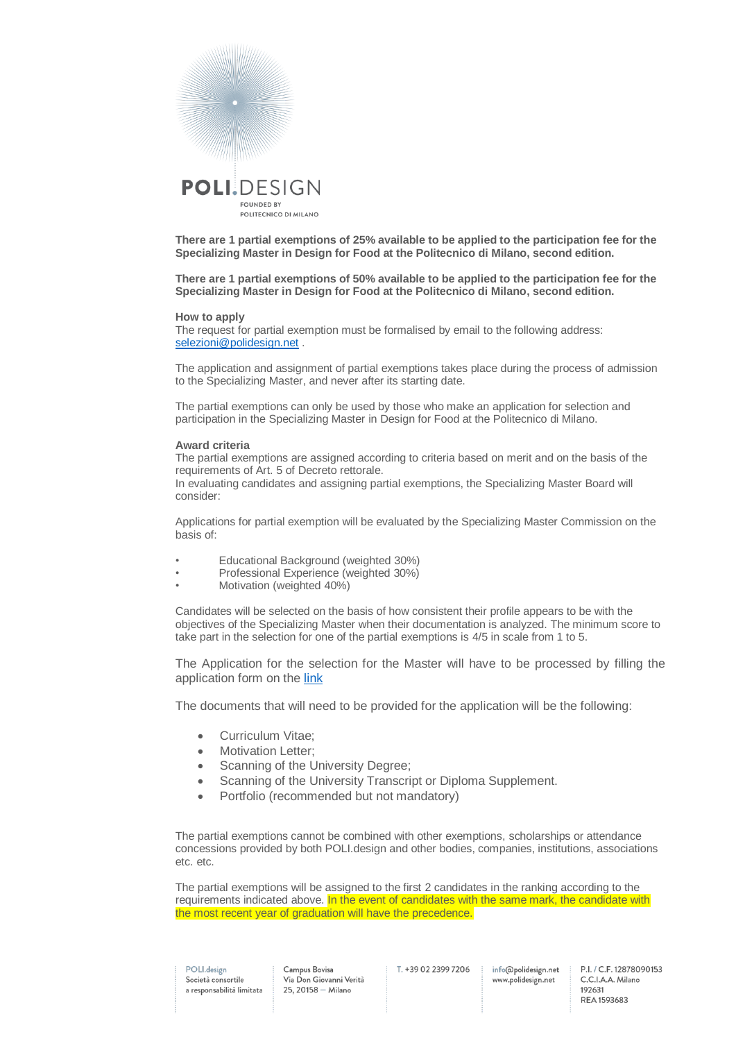

**There are 1 partial exemptions of 25% available to be applied to the participation fee for the Specializing Master in Design for Food at the Politecnico di Milano, second edition.**

**There are 1 partial exemptions of 50% available to be applied to the participation fee for the Specializing Master in Design for Food at the Politecnico di Milano, second edition.**

## **How to apply**

The request for partial exemption must be formalised by email to the following address: [selezioni@polidesign.net](mailto:selezioni@polidesign.net) .

The application and assignment of partial exemptions takes place during the process of admission to the Specializing Master, and never after its starting date.

The partial exemptions can only be used by those who make an application for selection and participation in the Specializing Master in Design for Food at the Politecnico di Milano.

## **Award criteria**

The partial exemptions are assigned according to criteria based on merit and on the basis of the requirements of Art. 5 of Decreto rettorale. In evaluating candidates and assigning partial exemptions, the Specializing Master Board will

consider:

Applications for partial exemption will be evaluated by the Specializing Master Commission on the basis of:

- Educational Background (weighted 30%)
- Professional Experience (weighted 30%)
- Motivation (weighted 40%)

Candidates will be selected on the basis of how consistent their profile appears to be with the objectives of the Specializing Master when their documentation is analyzed. The minimum score to take part in the selection for one of the partial exemptions is 4/5 in scale from 1 to 5.

The Application for the selection for the Master will have to be processed by filling the application form on th[e link](https://www.polidesign.net/it/member-login/?candidatura&redirect_to=https://www.polidesign.net/it/candidatura/?courseID=POLID_5fce53f7ee21f)

The documents that will need to be provided for the application will be the following:

- Curriculum Vitae;
- Motivation Letter;
- Scanning of the University Degree;
- Scanning of the University Transcript or Diploma Supplement.
- Portfolio (recommended but not mandatory)

The partial exemptions cannot be combined with other exemptions, scholarships or attendance concessions provided by both POLI.design and other bodies, companies, institutions, associations etc. etc.

The partial exemptions will be assigned to the first 2 candidates in the ranking according to the requirements indicated above. In the event of candidates with the same mark, the candidate with the most recent year of graduation will have the precedence.

POLI.design Società consortile a responsabilità limitata Campus Bovisa Via Don Giovanni Verità  $25.20158 -$ Milano

T. +39 02 2399 7206

info@polidesign.net www.polidesign.net

P.I. / C.F. 12878090153 C.C.I.A.A. Milano 192631 REA 1593683